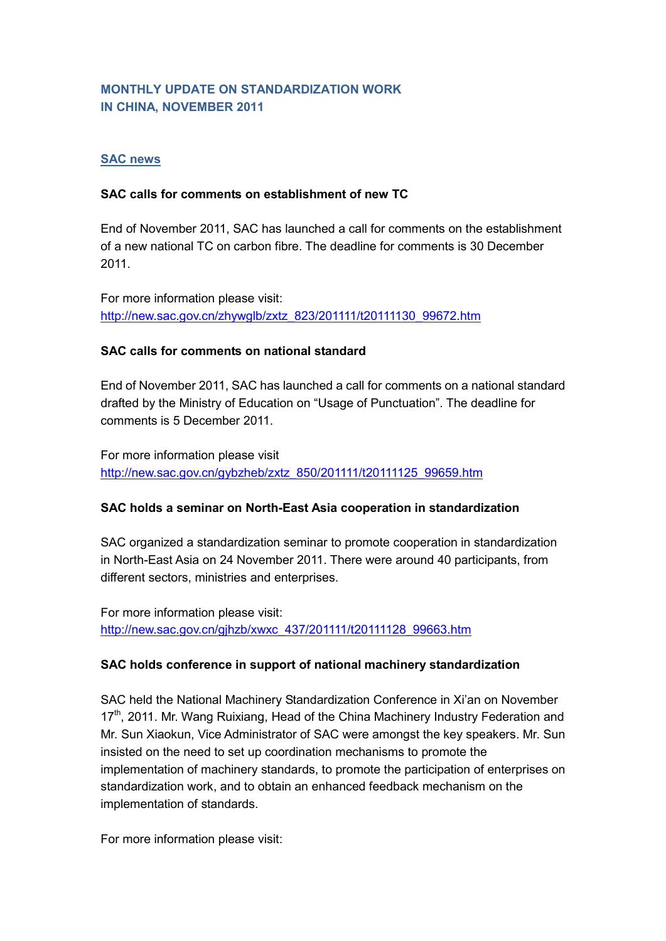## **MONTHLY UPDATE ON STANDARDIZATION WORK IN CHINA, NOVEMBER 2011**

### **SAC news**

#### **SAC calls for comments on establishment of new TC**

End of November 2011, SAC has launched a call for comments on the establishment of a new national TC on carbon fibre. The deadline for comments is 30 December 2011.

For more information please visit: [http://new.sac.gov.cn/zhywglb/zxtz\\_823/201111/t20111130\\_99672.htm](http://new.sac.gov.cn/zhywglb/zxtz_823/201111/t20111130_99672.htm)

### **SAC calls for comments on national standard**

End of November 2011, SAC has launched a call for comments on a national standard drafted by the Ministry of Education on "Usage of Punctuation". The deadline for comments is 5 December 2011.

For more information please visit [http://new.sac.gov.cn/gybzheb/zxtz\\_850/201111/t20111125\\_99659.htm](http://new.sac.gov.cn/gybzheb/zxtz_850/201111/t20111125_99659.htm)

#### **SAC holds a seminar on North-East Asia cooperation in standardization**

SAC organized a standardization seminar to promote cooperation in standardization in North-East Asia on 24 November 2011. There were around 40 participants, from different sectors, ministries and enterprises.

For more information please visit: [http://new.sac.gov.cn/gjhzb/xwxc\\_437/201111/t20111128\\_99663.htm](http://new.sac.gov.cn/gjhzb/xwxc_437/201111/t20111128_99663.htm)

#### **SAC holds conference in support of national machinery standardization**

SAC held the National Machinery Standardization Conference in Xi'an on November 17<sup>th</sup>, 2011. Mr. Wang Ruixiang, Head of the China Machinery Industry Federation and Mr. Sun Xiaokun, Vice Administrator of SAC were amongst the key speakers. Mr. Sun insisted on the need to set up coordination mechanisms to promote the implementation of machinery standards, to promote the participation of enterprises on standardization work, and to obtain an enhanced feedback mechanism on the implementation of standards.

For more information please visit: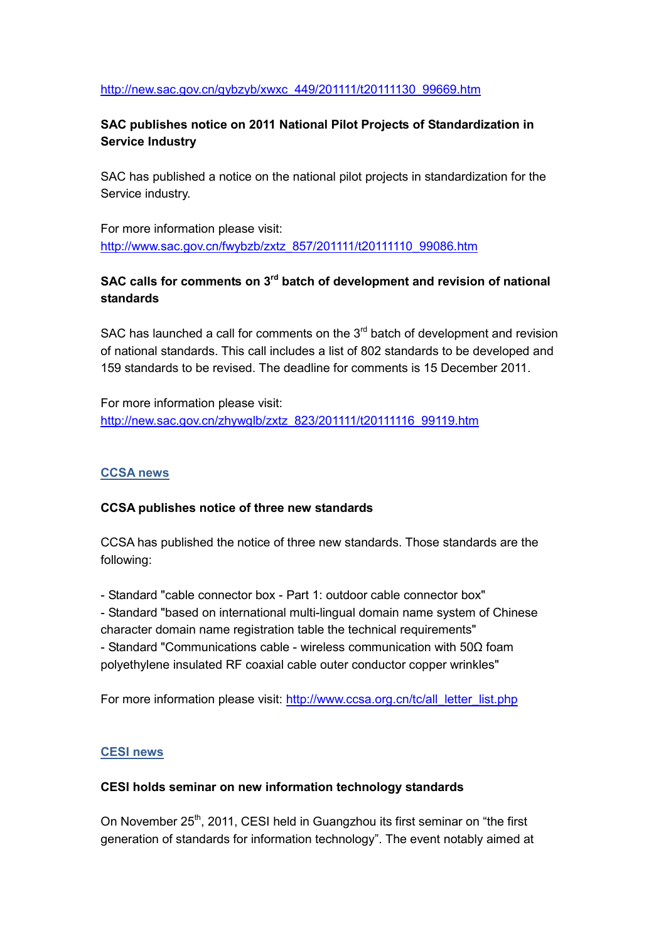### [http://new.sac.gov.cn/gybzyb/xwxc\\_449/201111/t20111130\\_99669.htm](http://new.sac.gov.cn/gybzyb/xwxc_449/201111/t20111130_99669.htm)

## **SAC publishes notice on 2011 National Pilot Projects of Standardization in Service Industry**

SAC has published a notice on the national pilot projects in standardization for the Service industry.

For more information please visit: [http://www.sac.gov.cn/fwybzb/zxtz\\_857/201111/t20111110\\_99086.htm](http://www.sac.gov.cn/fwybzb/zxtz_857/201111/t20111110_99086.htm)

# **SAC calls for comments on 3rd batch of development and revision of national standards**

SAC has launched a call for comments on the  $3<sup>rd</sup>$  batch of development and revision of national standards. This call includes a list of 802 standards to be developed and 159 standards to be revised. The deadline for comments is 15 December 2011.

For more information please visit: [http://new.sac.gov.cn/zhywglb/zxtz\\_823/201111/t20111116\\_99119.htm](http://new.sac.gov.cn/zhywglb/zxtz_823/201111/t20111116_99119.htm)

### **CCSA news**

### **CCSA publishes notice of three new standards**

CCSA has published the notice of three new standards. Those standards are the following:

- Standard "cable connector box - Part 1: outdoor cable connector box"

- Standard "based on international multi-lingual domain name system of Chinese character domain name registration table the technical requirements" - Standard "Communications cable - wireless communication with 50Ω foam polyethylene insulated RF coaxial cable outer conductor copper wrinkles"

For more information please visit: [http://www.ccsa.org.cn/tc/all\\_letter\\_list.php](http://www.ccsa.org.cn/tc/all_letter_list.php)

#### **CESI news**

### **CESI holds seminar on new information technology standards**

On November 25<sup>th</sup>, 2011, CESI held in Guangzhou its first seminar on "the first generation of standards for information technology". The event notably aimed at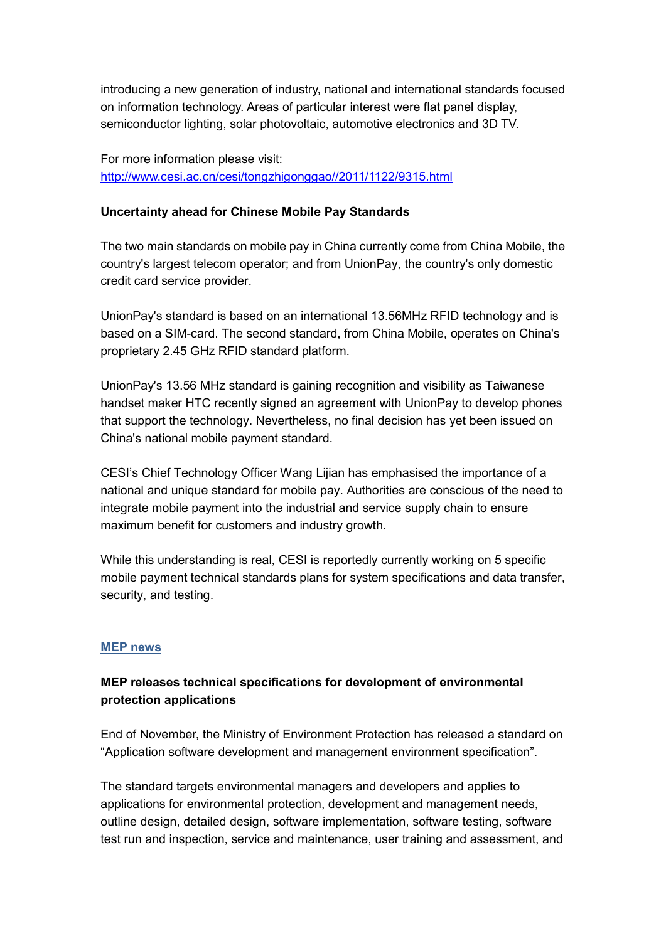introducing a new generation of industry, national and international standards focused on information technology. Areas of particular interest were flat panel display, semiconductor lighting, solar photovoltaic, automotive electronics and 3D TV.

For more information please visit: [http://www.cesi.ac.cn/cesi/tongzhigonggao//2011/1122/9315.html](http://www.cesi.ac.cn/cesi/tongzhigonggao/2011/1122/9315.html)

#### **Uncertainty ahead for Chinese Mobile Pay Standards**

The two main standards on mobile pay in China currently come from China Mobile, the country's largest telecom operator; and from UnionPay, the country's only domestic credit card service provider.

UnionPay's standard is based on an international 13.56MHz RFID technology and is based on a SIM-card. The second standard, from China Mobile, operates on China's proprietary 2.45 GHz RFID standard platform.

UnionPay's 13.56 MHz standard is gaining recognition and visibility as Taiwanese handset maker HTC recently signed an agreement with UnionPay to develop phones that support the technology. Nevertheless, no final decision has yet been issued on China's national mobile payment standard.

CESI's Chief Technology Officer Wang Lijian has emphasised the importance of a national and unique standard for mobile pay. Authorities are conscious of the need to integrate mobile payment into the industrial and service supply chain to ensure maximum benefit for customers and industry growth.

While this understanding is real, CESI is reportedly currently working on 5 specific mobile payment technical standards plans for system specifications and data transfer, security, and testing.

#### **MEP news**

### **MEP releases technical specifications for development of environmental protection applications**

End of November, the Ministry of Environment Protection has released a standard on "Application software development and management environment specification".

The standard targets environmental managers and developers and applies to applications for environmental protection, development and management needs, outline design, detailed design, software implementation, software testing, software test run and inspection, service and maintenance, user training and assessment, and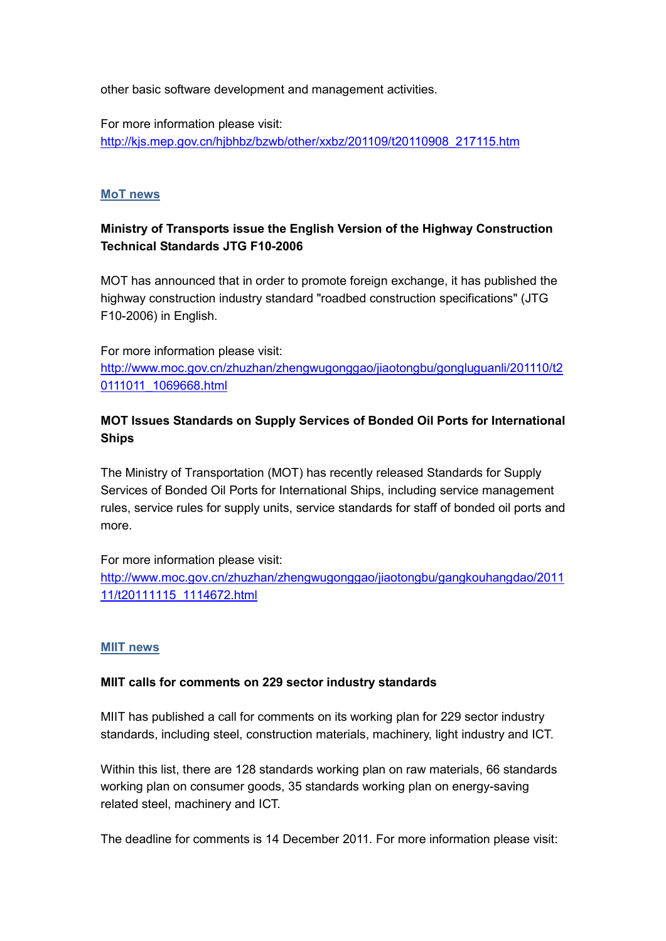other basic software development and management activities.

For more information please visit: [http://kjs.mep.gov.cn/hjbhbz/bzwb/other/xxbz/201109/t20110908\\_217115.htm](http://kjs.mep.gov.cn/hjbhbz/bzwb/other/xxbz/201109/t20110908_217115.htm)

### **MoT news**

## **Ministry of Transports issue the English Version of the Highway Construction Technical Standards JTG F10-2006**

MOT has announced that in order to promote foreign exchange, it has published the highway construction industry standard "roadbed construction specifications" (JTG F10-2006) in English.

For more information please visit: [http://www.moc.gov.cn/zhuzhan/zhengwugonggao/jiaotongbu/gongluguanli/201110/t2](http://www.moc.gov.cn/zhuzhan/zhengwugonggao/jiaotongbu/gongluguanli/201110/t20111011_1069668.html) [0111011\\_1069668.html](http://www.moc.gov.cn/zhuzhan/zhengwugonggao/jiaotongbu/gongluguanli/201110/t20111011_1069668.html)

## **MOT Issues Standards on Supply Services of Bonded Oil Ports for International Ships**

The Ministry of Transportation (MOT) has recently released Standards for Supply Services of Bonded Oil Ports for International Ships, including service management rules, service rules for supply units, service standards for staff of bonded oil ports and more.

For more information please visit: [http://www.moc.gov.cn/zhuzhan/zhengwugonggao/jiaotongbu/gangkouhangdao/2011](http://www.moc.gov.cn/zhuzhan/zhengwugonggao/jiaotongbu/gangkouhangdao/201111/t20111115_1114672.html) [11/t20111115\\_1114672.html](http://www.moc.gov.cn/zhuzhan/zhengwugonggao/jiaotongbu/gangkouhangdao/201111/t20111115_1114672.html)

#### **MIIT news**

#### **MIIT calls for comments on 229 sector industry standards**

MIIT has published a call for comments on its working plan for 229 sector industry standards, including steel, construction materials, machinery, light industry and ICT.

Within this list, there are 128 standards working plan on raw materials, 66 standards working plan on consumer goods, 35 standards working plan on energy-saving related steel, machinery and ICT.

The deadline for comments is 14 December 2011. For more information please visit: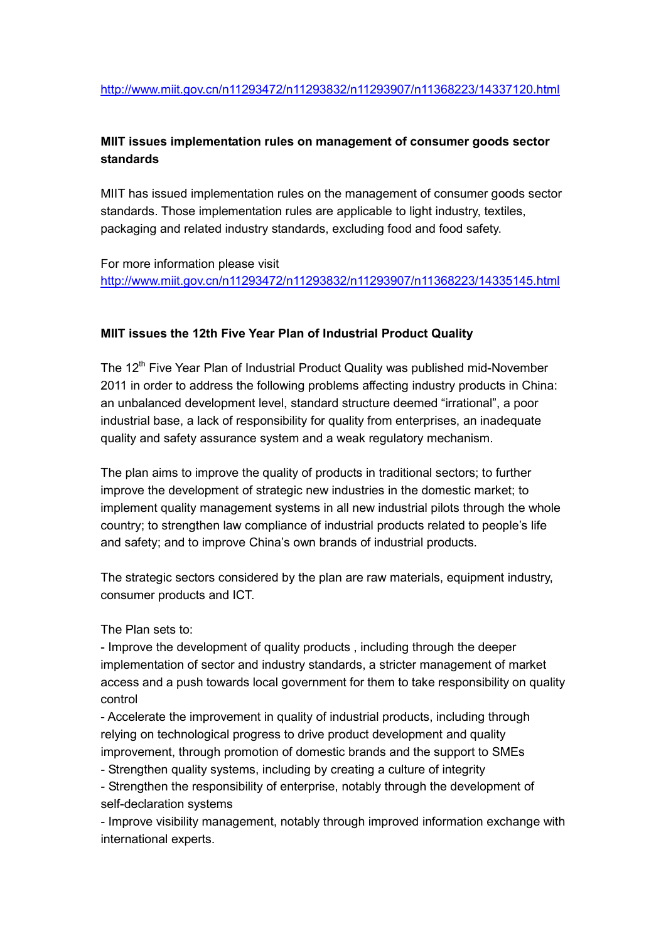## **MIIT issues implementation rules on management of consumer goods sector standards**

MIIT has issued implementation rules on the management of consumer goods sector standards. Those implementation rules are applicable to light industry, textiles, packaging and related industry standards, excluding food and food safety.

For more information please visit <http://www.miit.gov.cn/n11293472/n11293832/n11293907/n11368223/14335145.html>

#### **MIIT issues the 12th Five Year Plan of Industrial Product Quality**

The 12<sup>th</sup> Five Year Plan of Industrial Product Quality was published mid-November 2011 in order to address the following problems affecting industry products in China: an unbalanced development level, standard structure deemed "irrational", a poor industrial base, a lack of responsibility for quality from enterprises, an inadequate quality and safety assurance system and a weak regulatory mechanism.

The plan aims to improve the quality of products in traditional sectors; to further improve the development of strategic new industries in the domestic market; to implement quality management systems in all new industrial pilots through the whole country; to strengthen law compliance of industrial products related to people's life and safety; and to improve China's own brands of industrial products.

The strategic sectors considered by the plan are raw materials, equipment industry, consumer products and ICT.

The Plan sets to:

- Improve the development of quality products , including through the deeper implementation of sector and industry standards, a stricter management of market access and a push towards local government for them to take responsibility on quality control

- Accelerate the improvement in quality of industrial products, including through relying on technological progress to drive product development and quality improvement, through promotion of domestic brands and the support to SMEs

- Strengthen quality systems, including by creating a culture of integrity

- Strengthen the responsibility of enterprise, notably through the development of self-declaration systems

- Improve visibility management, notably through improved information exchange with international experts.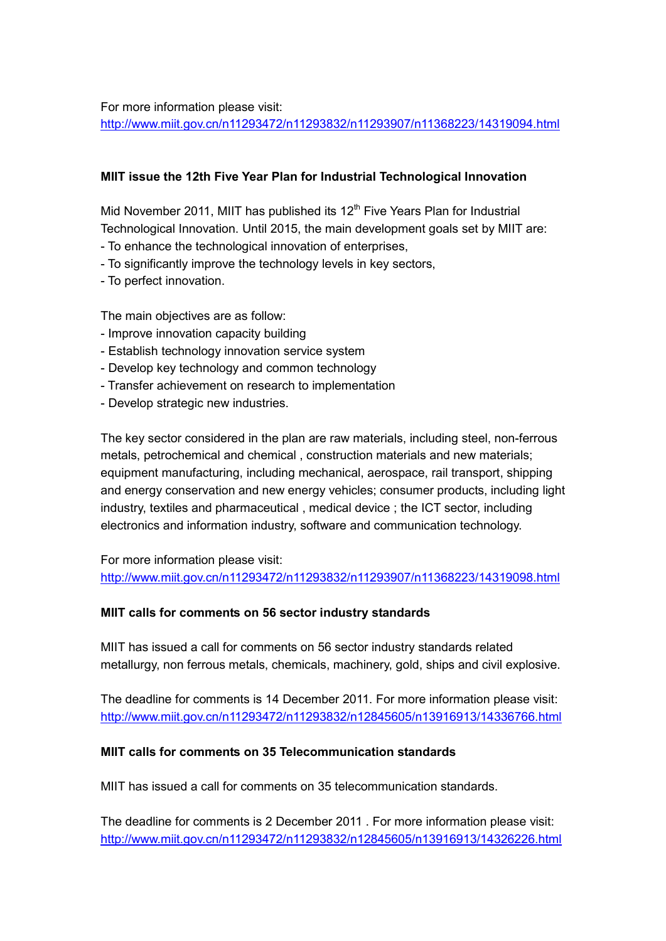For more information please visit: <http://www.miit.gov.cn/n11293472/n11293832/n11293907/n11368223/14319094.html>

### **MIIT issue the 12th Five Year Plan for Industrial Technological Innovation**

Mid November 2011, MIIT has published its  $12<sup>th</sup>$  Five Years Plan for Industrial Technological Innovation. Until 2015, the main development goals set by MIIT are:

- To enhance the technological innovation of enterprises,
- To significantly improve the technology levels in key sectors,
- To perfect innovation.

The main objectives are as follow:

- Improve innovation capacity building
- Establish technology innovation service system
- Develop key technology and common technology
- Transfer achievement on research to implementation
- Develop strategic new industries.

The key sector considered in the plan are raw materials, including steel, non-ferrous metals, petrochemical and chemical , construction materials and new materials; equipment manufacturing, including mechanical, aerospace, rail transport, shipping and energy conservation and new energy vehicles; consumer products, including light industry, textiles and pharmaceutical , medical device ; the ICT sector, including electronics and information industry, software and communication technology.

For more information please visit: <http://www.miit.gov.cn/n11293472/n11293832/n11293907/n11368223/14319098.html>

#### **MIIT calls for comments on 56 sector industry standards**

MIIT has issued a call for comments on 56 sector industry standards related metallurgy, non ferrous metals, chemicals, machinery, gold, ships and civil explosive.

The deadline for comments is 14 December 2011. For more information please visit: <http://www.miit.gov.cn/n11293472/n11293832/n12845605/n13916913/14336766.html>

### **MIIT calls for comments on 35 Telecommunication standards**

MIIT has issued a call for comments on 35 telecommunication standards.

The deadline for comments is 2 December 2011 . For more information please visit: <http://www.miit.gov.cn/n11293472/n11293832/n12845605/n13916913/14326226.html>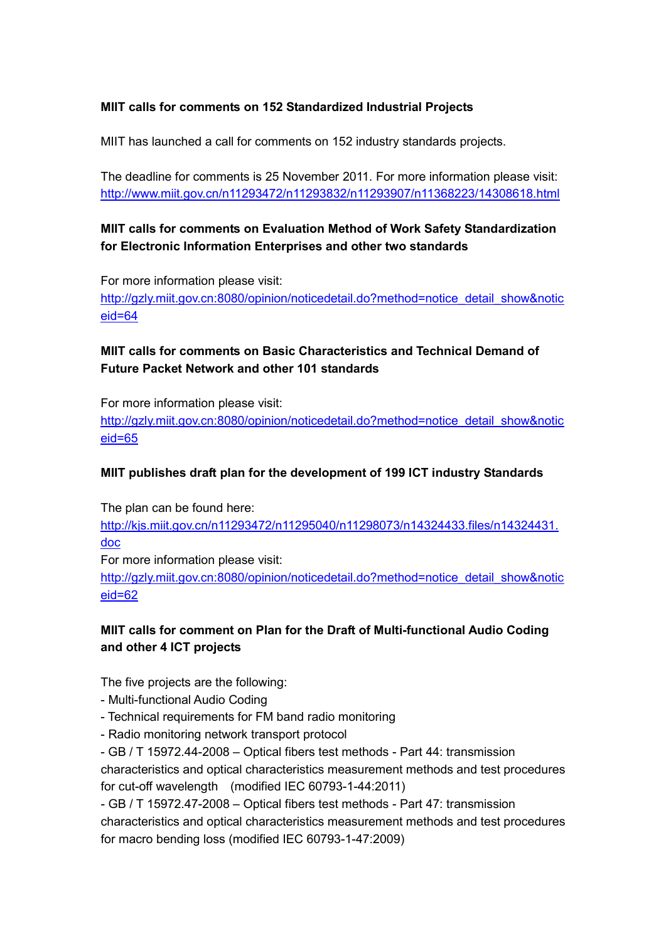### **MIIT calls for comments on 152 Standardized Industrial Projects**

MIIT has launched a call for comments on 152 industry standards projects.

The deadline for comments is 25 November 2011. For more information please visit: <http://www.miit.gov.cn/n11293472/n11293832/n11293907/n11368223/14308618.html>

## **MIIT calls for comments on Evaluation Method of Work Safety Standardization for Electronic Information Enterprises and other two standards**

For more information please visit: [http://gzly.miit.gov.cn:8080/opinion/noticedetail.do?method=notice\\_detail\\_show&notic](http://gzly.miit.gov.cn:8080/opinion/noticedetail.do?method=notice_detail_show¬iceid=64) [eid=64](http://gzly.miit.gov.cn:8080/opinion/noticedetail.do?method=notice_detail_show¬iceid=64)

# **MIIT calls for comments on Basic Characteristics and Technical Demand of Future Packet Network and other 101 standards**

For more information please visit: [http://gzly.miit.gov.cn:8080/opinion/noticedetail.do?method=notice\\_detail\\_show&notic](http://gzly.miit.gov.cn:8080/opinion/noticedetail.do?method=notice_detail_show¬iceid=65) [eid=65](http://gzly.miit.gov.cn:8080/opinion/noticedetail.do?method=notice_detail_show¬iceid=65)

## **MIIT publishes draft plan for the development of 199 ICT industry Standards**

The plan can be found here:

[http://kjs.miit.gov.cn/n11293472/n11295040/n11298073/n14324433.files/n14324431.](http://kjs.miit.gov.cn/n11293472/n11295040/n11298073/n14324433.files/n14324431.doc) [doc](http://kjs.miit.gov.cn/n11293472/n11295040/n11298073/n14324433.files/n14324431.doc)

For more information please visit:

[http://gzly.miit.gov.cn:8080/opinion/noticedetail.do?method=notice\\_detail\\_show&notic](http://gzly.miit.gov.cn:8080/opinion/noticedetail.do?method=notice_detail_show¬iceid=62) [eid=62](http://gzly.miit.gov.cn:8080/opinion/noticedetail.do?method=notice_detail_show¬iceid=62)

## **MIIT calls for comment on Plan for the Draft of Multi-functional Audio Coding and other 4 ICT projects**

The five projects are the following:

- Multi-functional Audio Coding
- Technical requirements for FM band radio monitoring
- Radio monitoring network transport protocol

- GB / T 15972.44-2008 – Optical fibers test methods - Part 44: transmission characteristics and optical characteristics measurement methods and test procedures for cut-off wavelength (modified IEC 60793-1-44:2011)

- GB / T 15972.47-2008 – Optical fibers test methods - Part 47: transmission characteristics and optical characteristics measurement methods and test procedures for macro bending loss (modified IEC 60793-1-47:2009)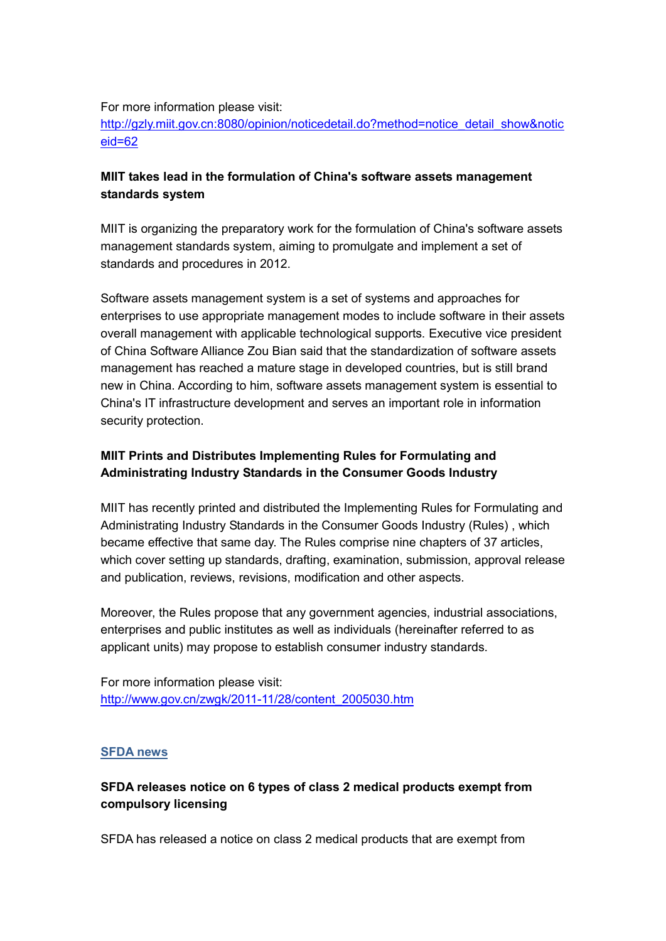For more information please visit:

[http://gzly.miit.gov.cn:8080/opinion/noticedetail.do?method=notice\\_detail\\_show&notic](http://gzly.miit.gov.cn:8080/opinion/noticedetail.do?method=notice_detail_show¬iceid=62) [eid=62](http://gzly.miit.gov.cn:8080/opinion/noticedetail.do?method=notice_detail_show¬iceid=62)

### **MIIT takes lead in the formulation of China's software assets management standards system**

MIIT is organizing the preparatory work for the formulation of China's software assets management standards system, aiming to promulgate and implement a set of standards and procedures in 2012.

Software assets management system is a set of systems and approaches for enterprises to use appropriate management modes to include software in their assets overall management with applicable technological supports. Executive vice president of China Software Alliance Zou Bian said that the standardization of software assets management has reached a mature stage in developed countries, but is still brand new in China. According to him, software assets management system is essential to China's IT infrastructure development and serves an important role in information security protection.

### **MIIT Prints and Distributes Implementing Rules for Formulating and Administrating Industry Standards in the Consumer Goods Industry**

MIIT has recently printed and distributed the Implementing Rules for Formulating and Administrating Industry Standards in the Consumer Goods Industry (Rules) , which became effective that same day. The Rules comprise nine chapters of 37 articles, which cover setting up standards, drafting, examination, submission, approval release and publication, reviews, revisions, modification and other aspects.

Moreover, the Rules propose that any government agencies, industrial associations, enterprises and public institutes as well as individuals (hereinafter referred to as applicant units) may propose to establish consumer industry standards.

For more information please visit: [http://www.gov.cn/zwgk/2011-11/28/content\\_2005030.htm](http://www.gov.cn/zwgk/2011-11/28/content_2005030.htm)

#### **SFDA news**

## **SFDA releases notice on 6 types of class 2 medical products exempt from compulsory licensing**

SFDA has released a notice on class 2 medical products that are exempt from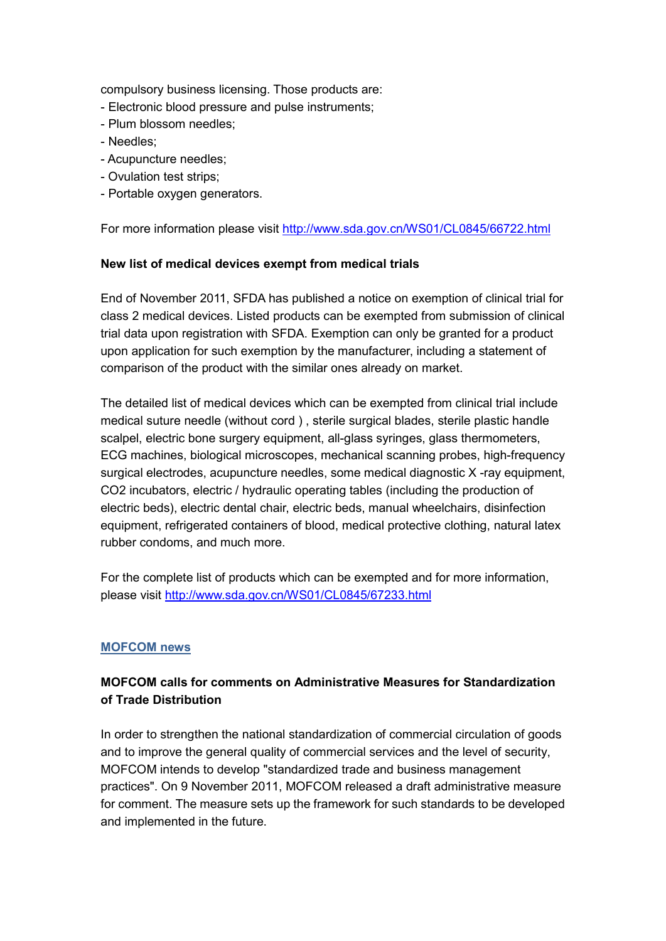compulsory business licensing. Those products are:

- Electronic blood pressure and pulse instruments;
- Plum blossom needles;
- Needles;
- Acupuncture needles;
- Ovulation test strips;
- Portable oxygen generators.

For more information please visit<http://www.sda.gov.cn/WS01/CL0845/66722.html>

#### **New list of medical devices exempt from medical trials**

End of November 2011, SFDA has published a notice on exemption of clinical trial for class 2 medical devices. Listed products can be exempted from submission of clinical trial data upon registration with SFDA. Exemption can only be granted for a product upon application for such exemption by the manufacturer, including a statement of comparison of the product with the similar ones already on market.

The detailed list of medical devices which can be exempted from clinical trial include medical suture needle (without cord ) , sterile surgical blades, sterile plastic handle scalpel, electric bone surgery equipment, all-glass syringes, glass thermometers, ECG machines, biological microscopes, mechanical scanning probes, high-frequency surgical electrodes, acupuncture needles, some medical diagnostic X -ray equipment, CO2 incubators, electric / hydraulic operating tables (including the production of electric beds), electric dental chair, electric beds, manual wheelchairs, disinfection equipment, refrigerated containers of blood, medical protective clothing, natural latex rubber condoms, and much more.

For the complete list of products which can be exempted and for more information, please visit<http://www.sda.gov.cn/WS01/CL0845/67233.html>

#### **MOFCOM news**

### **MOFCOM calls for comments on Administrative Measures for Standardization of Trade Distribution**

In order to strengthen the national standardization of commercial circulation of goods and to improve the general quality of commercial services and the level of security, MOFCOM intends to develop "standardized trade and business management practices". On 9 November 2011, MOFCOM released a draft administrative measure for comment. The measure sets up the framework for such standards to be developed and implemented in the future.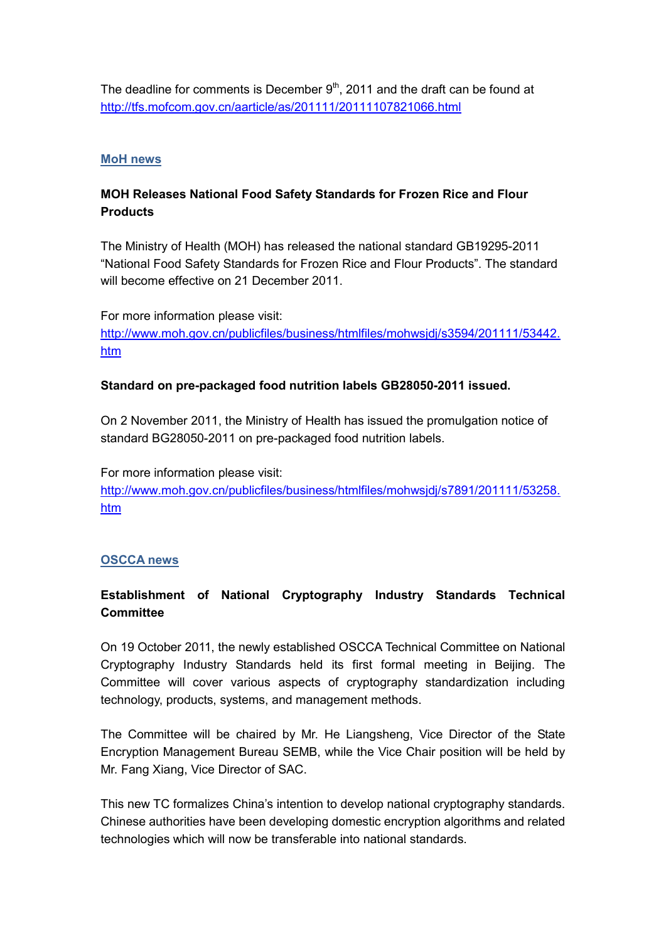The deadline for comments is December  $9<sup>th</sup>$ , 2011 and the draft can be found at <http://tfs.mofcom.gov.cn/aarticle/as/201111/20111107821066.html>

#### **MoH news**

## **MOH Releases National Food Safety Standards for Frozen Rice and Flour Products**

The Ministry of Health (MOH) has released the national standard GB19295-2011 "National Food Safety Standards for Frozen Rice and Flour Products". The standard will become effective on 21 December 2011.

For more information please visit: [http://www.moh.gov.cn/publicfiles/business/htmlfiles/mohwsjdj/s3594/201111/53442.](http://www.moh.gov.cn/publicfiles/business/htmlfiles/mohwsjdj/s3594/201111/53442.htm) [htm](http://www.moh.gov.cn/publicfiles/business/htmlfiles/mohwsjdj/s3594/201111/53442.htm)

### **Standard on pre-packaged food nutrition labels GB28050-2011 issued.**

On 2 November 2011, the Ministry of Health has issued the promulgation notice of standard BG28050-2011 on pre-packaged food nutrition labels.

For more information please visit: [http://www.moh.gov.cn/publicfiles/business/htmlfiles/mohwsjdj/s7891/201111/53258.](http://www.moh.gov.cn/publicfiles/business/htmlfiles/mohwsjdj/s7891/201111/53258.htm) [htm](http://www.moh.gov.cn/publicfiles/business/htmlfiles/mohwsjdj/s7891/201111/53258.htm)

#### **OSCCA news**

## **Establishment of National Cryptography Industry Standards Technical Committee**

On 19 October 2011, the newly established OSCCA Technical Committee on National Cryptography Industry Standards held its first formal meeting in Beijing. The Committee will cover various aspects of cryptography standardization including technology, products, systems, and management methods.

The Committee will be chaired by Mr. He Liangsheng, Vice Director of the State Encryption Management Bureau SEMB, while the Vice Chair position will be held by Mr. Fang Xiang, Vice Director of SAC.

This new TC formalizes China's intention to develop national cryptography standards. Chinese authorities have been developing domestic encryption algorithms and related technologies which will now be transferable into national standards.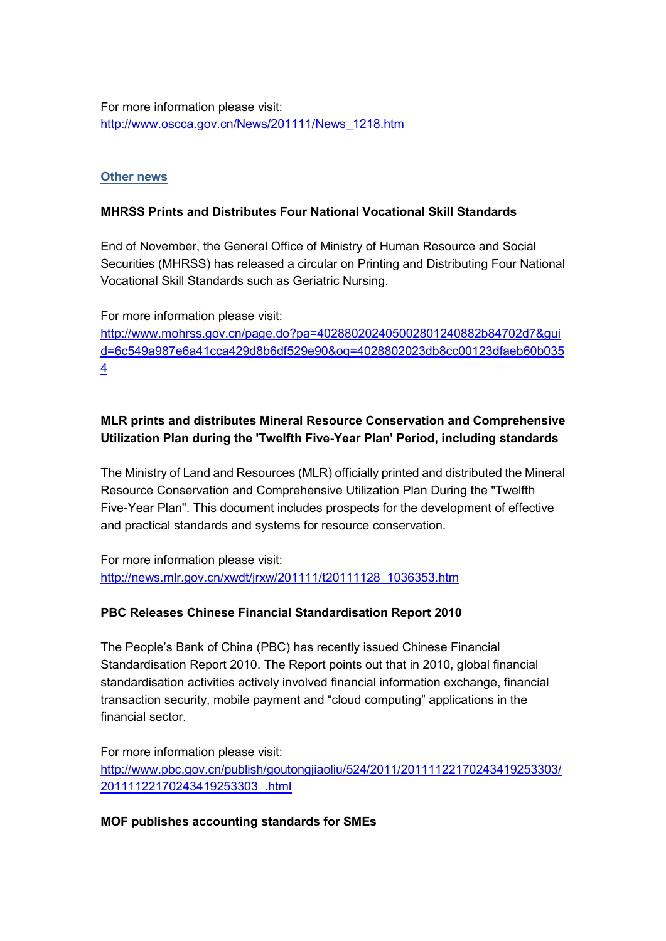For more information please visit: [http://www.oscca.gov.cn/News/201111/News\\_1218.htm](http://www.oscca.gov.cn/News/201111/News_1218.htm)

#### **Other news**

### **MHRSS Prints and Distributes Four National Vocational Skill Standards**

End of November, the General Office of Ministry of Human Resource and Social Securities (MHRSS) has released a circular on Printing and Distributing Four National Vocational Skill Standards such as Geriatric Nursing.

For more information please visit: [http://www.mohrss.gov.cn/page.do?pa=402880202405002801240882b84702d7&gui](http://www.mohrss.gov.cn/page.do?pa=402880202405002801240882b84702d7&guid=6c549a987e6a41cca429d8b6df529e90&og=4028802023db8cc00123dfaeb60b0354) [d=6c549a987e6a41cca429d8b6df529e90&og=4028802023db8cc00123dfaeb60b035](http://www.mohrss.gov.cn/page.do?pa=402880202405002801240882b84702d7&guid=6c549a987e6a41cca429d8b6df529e90&og=4028802023db8cc00123dfaeb60b0354) [4](http://www.mohrss.gov.cn/page.do?pa=402880202405002801240882b84702d7&guid=6c549a987e6a41cca429d8b6df529e90&og=4028802023db8cc00123dfaeb60b0354)

## **MLR prints and distributes Mineral Resource Conservation and Comprehensive Utilization Plan during the 'Twelfth Five-Year Plan' Period, including standards**

The Ministry of Land and Resources (MLR) officially printed and distributed the Mineral Resource Conservation and Comprehensive Utilization Plan During the "Twelfth Five-Year Plan". This document includes prospects for the development of effective and practical standards and systems for resource conservation.

For more information please visit: [http://news.mlr.gov.cn/xwdt/jrxw/201111/t20111128\\_1036353.htm](http://news.mlr.gov.cn/xwdt/jrxw/201111/t20111128_1036353.htm)

### **PBC Releases Chinese Financial Standardisation Report 2010**

The People's Bank of China (PBC) has recently issued Chinese Financial Standardisation Report 2010. The Report points out that in 2010, global financial standardisation activities actively involved financial information exchange, financial transaction security, mobile payment and "cloud computing" applications in the financial sector

For more information please visit: [http://www.pbc.gov.cn/publish/goutongjiaoliu/524/2011/20111122170243419253303/](http://www.pbc.gov.cn/publish/goutongjiaoliu/524/2011/20111122170243419253303/20111122170243419253303_.html) [20111122170243419253303\\_.html](http://www.pbc.gov.cn/publish/goutongjiaoliu/524/2011/20111122170243419253303/20111122170243419253303_.html)

### **MOF publishes accounting standards for SMEs**